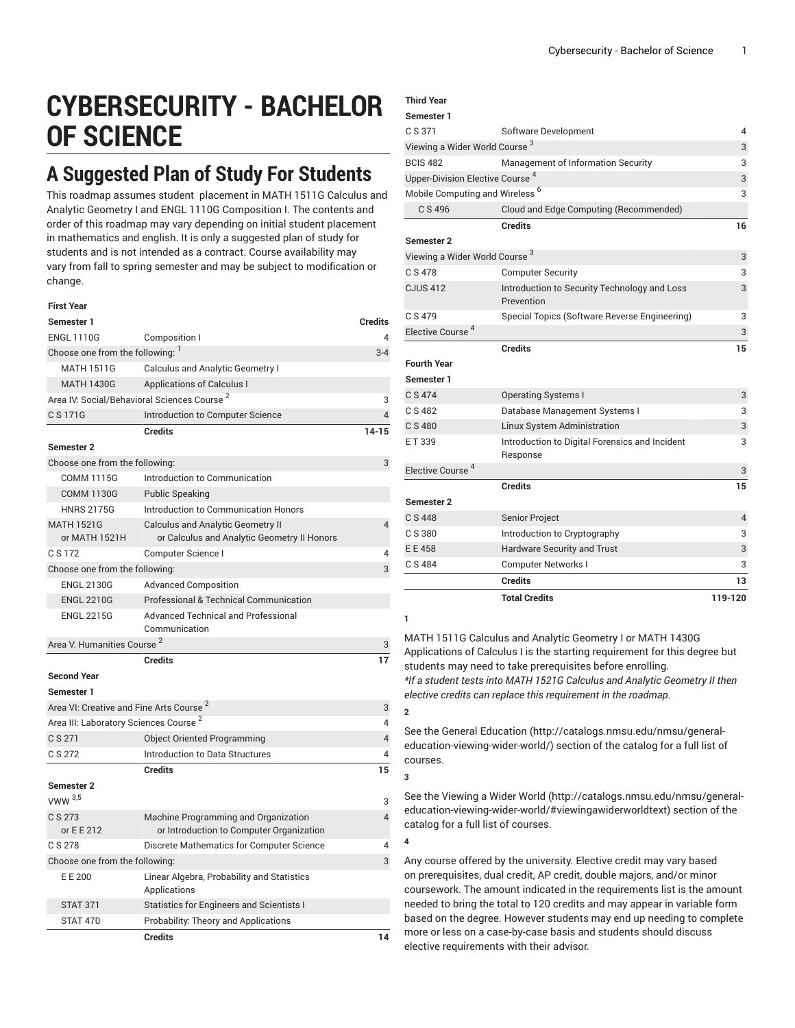# **CYBERSECURITY - BACHELOR OF SCIENCE**

## **A Suggested Plan of Study For Students**

This roadmap assumes student placement in MATH 1511G Calculus and Analytic Geometry I and ENGL 1110G Composition I. The contents and order of this roadmap may vary depending on initial student placement in mathematics and english. It is only a suggested plan of study for students and is not intended as a contract. Course availability may vary from fall to spring semester and may be subject to modification or change.

| <b>First Year</b>                                   |                                                                                         |                |
|-----------------------------------------------------|-----------------------------------------------------------------------------------------|----------------|
| Semester 1                                          |                                                                                         | <b>Credits</b> |
| <b>ENGL 1110G</b>                                   | Composition I                                                                           | Δ              |
| Choose one from the following: 1                    |                                                                                         | $3 - 4$        |
| <b>MATH 1511G</b>                                   | <b>Calculus and Analytic Geometry I</b>                                                 |                |
| <b>MATH 1430G</b>                                   | <b>Applications of Calculus I</b>                                                       |                |
|                                                     | Area IV: Social/Behavioral Sciences Course <sup>2</sup>                                 | 3              |
| C S 171G                                            | Introduction to Computer Science                                                        | 4              |
|                                                     | <b>Credits</b>                                                                          | $14 - 15$      |
| <b>Semester 2</b>                                   |                                                                                         |                |
| Choose one from the following:                      |                                                                                         | 3              |
| <b>COMM 1115G</b>                                   | Introduction to Communication                                                           |                |
| <b>COMM 1130G</b>                                   | <b>Public Speaking</b>                                                                  |                |
| <b>HNRS 2175G</b>                                   | Introduction to Communication Honors                                                    |                |
| <b>MATH 1521G</b><br>or MATH 1521H                  | <b>Calculus and Analytic Geometry II</b><br>or Calculus and Analytic Geometry II Honors | 4              |
| C S 172                                             | Computer Science I                                                                      | 4              |
| Choose one from the following:                      |                                                                                         | 3              |
| <b>ENGL 2130G</b>                                   | <b>Advanced Composition</b>                                                             |                |
| <b>ENGL 2210G</b>                                   | <b>Professional &amp; Technical Communication</b>                                       |                |
| <b>ENGL 2215G</b>                                   | <b>Advanced Technical and Professional</b>                                              |                |
|                                                     | Communication                                                                           |                |
| Area V: Humanities Course <sup>2</sup>              |                                                                                         | 3              |
|                                                     | <b>Credits</b>                                                                          | 17             |
| <b>Second Year</b>                                  |                                                                                         |                |
| Semester 1                                          |                                                                                         |                |
| Area VI: Creative and Fine Arts Course <sup>2</sup> |                                                                                         | 3              |
| Area III: Laboratory Sciences Course <sup>2</sup>   |                                                                                         | 4              |
| C S 271                                             | <b>Object Oriented Programming</b>                                                      | $\overline{4}$ |
| C S 272                                             | Introduction to Data Structures                                                         | 4              |
|                                                     | <b>Credits</b>                                                                          | 15             |
| Semester 2                                          |                                                                                         |                |
| VWW $3,5$                                           |                                                                                         | 3              |
| C S 273<br>or E E 212                               | Machine Programming and Organization<br>or Introduction to Computer Organization        | $\overline{4}$ |
| C S 278                                             | Discrete Mathematics for Computer Science                                               | 4              |
| Choose one from the following:                      |                                                                                         | 3              |
| E E 200                                             | Linear Algebra, Probability and Statistics<br>Applications                              |                |
| <b>STAT 371</b>                                     | Statistics for Engineers and Scientists I                                               |                |
| <b>STAT 470</b>                                     | Probability: Theory and Applications                                                    |                |
|                                                     | <b>Credits</b>                                                                          | 14             |

### **Third Year**

#### **Semester 1**

|                                             | <b>Total Credits</b>                                       | 119-120        |
|---------------------------------------------|------------------------------------------------------------|----------------|
|                                             | <b>Credits</b>                                             | 13             |
| C S 484                                     | Computer Networks I                                        | 3              |
| E E 458                                     | Hardware Security and Trust                                | 3              |
| C S 380                                     | Introduction to Cryptography                               | 3              |
| C S 448                                     | <b>Senior Project</b>                                      | $\overline{4}$ |
| Semester 2                                  |                                                            |                |
|                                             | <b>Credits</b>                                             | 15             |
| Elective Course <sup>4</sup>                |                                                            | 3              |
| ET 339                                      | Introduction to Digital Forensics and Incident<br>Response | 3              |
| C S 480                                     | Linux System Administration                                | 3              |
| C S 482                                     | Database Management Systems I                              | 3              |
| C S 474                                     | <b>Operating Systems I</b>                                 | 3              |
| <b>Fourth Year</b><br>Semester 1            |                                                            |                |
|                                             | <b>Credits</b>                                             | 15             |
| Elective Course <sup>4</sup>                |                                                            | 3              |
| C S 479                                     | Special Topics (Software Reverse Engineering)              | 3              |
| <b>CJUS 412</b>                             | Introduction to Security Technology and Loss<br>Prevention | 3              |
| C S 478                                     | <b>Computer Security</b>                                   | 3              |
| Viewing a Wider World Course 3              |                                                            |                |
| Semester 2                                  |                                                            |                |
|                                             | <b>Credits</b>                                             | 16             |
| C S 496                                     | Cloud and Edge Computing (Recommended)                     |                |
| Mobile Computing and Wireless <sup>6</sup>  |                                                            |                |
| Upper-Division Elective Course <sup>4</sup> |                                                            | 3              |
| <b>BCIS 482</b>                             | Management of Information Security                         | 3              |
| Viewing a Wider World Course <sup>3</sup>   |                                                            | 3              |
| C S 371                                     | Software Development                                       | 4              |

**1**

**2**

**3**

**4**

MATH 1511G Calculus and Analytic Geometry I or MATH 1430G Applications of Calculus I is the starting requirement for this degree but students may need to take prerequisites before enrolling. *\*If a student tests into MATH 1521G Calculus and Analytic Geometry II then elective credits can replace this requirement in the roadmap.*

See the General [Education](http://catalogs.nmsu.edu/nmsu/general-education-viewing-wider-world/) ([http://catalogs.nmsu.edu/nmsu/general](http://catalogs.nmsu.edu/nmsu/general-education-viewing-wider-world/)[education-viewing-wider-world/\)](http://catalogs.nmsu.edu/nmsu/general-education-viewing-wider-world/) section of the catalog for a full list of courses.

See the [Viewing](http://catalogs.nmsu.edu/nmsu/general-education-viewing-wider-world/#viewingawiderworldtext) a Wider World [\(http://catalogs.nmsu.edu/nmsu/general](http://catalogs.nmsu.edu/nmsu/general-education-viewing-wider-world/#viewingawiderworldtext)[education-viewing-wider-world/#viewingawiderworldtext\)](http://catalogs.nmsu.edu/nmsu/general-education-viewing-wider-world/#viewingawiderworldtext) section of the catalog for a full list of courses.

Any course offered by the university. Elective credit may vary based on prerequisites, dual credit, AP credit, double majors, and/or minor coursework. The amount indicated in the requirements list is the amount needed to bring the total to 120 credits and may appear in variable form based on the degree. However students may end up needing to complete more or less on a case-by-case basis and students should discuss elective requirements with their advisor.